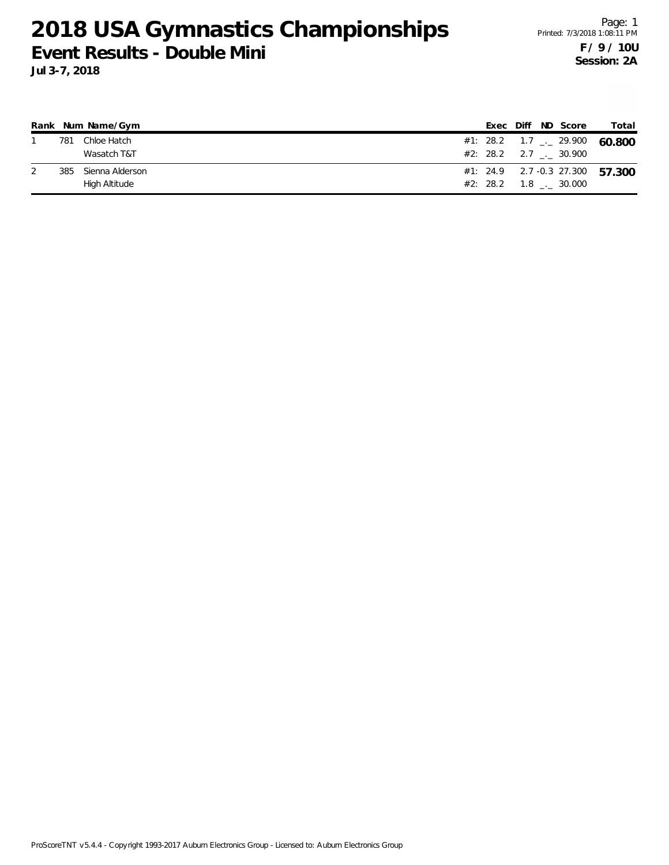|     | Rank Num Name/Gym |  |  | Exec Diff ND Score                           | Total                                    |
|-----|-------------------|--|--|----------------------------------------------|------------------------------------------|
| 781 | Chloe Hatch       |  |  |                                              | #1: 28.2 1.7 $\frac{1}{2}$ 29.900 60.800 |
|     | Wasatch T&T       |  |  | #2: 28.2 2.7 . 30.900                        |                                          |
| 385 | Sienna Alderson   |  |  |                                              | #1: 24.9 2.7 -0.3 27.300 57.300          |
|     | High Altitude     |  |  | $#2: 28.2 \qquad 1.8 \qquad . \qquad 30.000$ |                                          |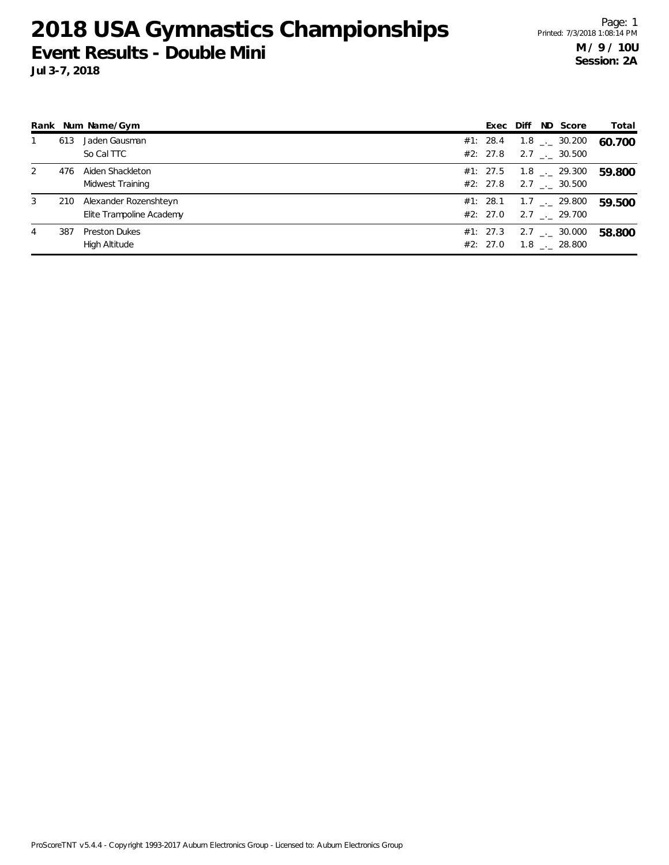|   |     | Rank Num Name/Gym        | Exec Diff |  | ND Score                     | Total  |
|---|-----|--------------------------|-----------|--|------------------------------|--------|
|   | 613 | Jaden Gausman            | #1: 28.4  |  | $1.8$ $_{\leftarrow}$ 30.200 | 60.700 |
|   |     | So Cal TTC               | #2: 27.8  |  | $2.7$ $_{\sim}$ 30.500       |        |
| 2 | 476 | Aiden Shackleton         | #1: 27.5  |  | $1.8$ $_{--}$ 29.300         | 59.800 |
|   |     | Midwest Training         | #2: 27.8  |  | $2.7$ $_{\sim}$ 30.500       |        |
| 3 | 210 | Alexander Rozenshteyn    | #1: 28.1  |  | $1.7$ $_{\leftarrow}$ 29.800 | 59.500 |
|   |     | Elite Trampoline Academy | #2: 27.0  |  | $2.7$ $_{\sim}$ 29.700       |        |
| 4 | 387 | <b>Preston Dukes</b>     | #1: 27.3  |  | $2.7$ $_{\sim}$ 30.000       | 58.800 |
|   |     | High Altitude            | #2: 27.0  |  | $1.8$ $_{\leftarrow}$ 28.800 |        |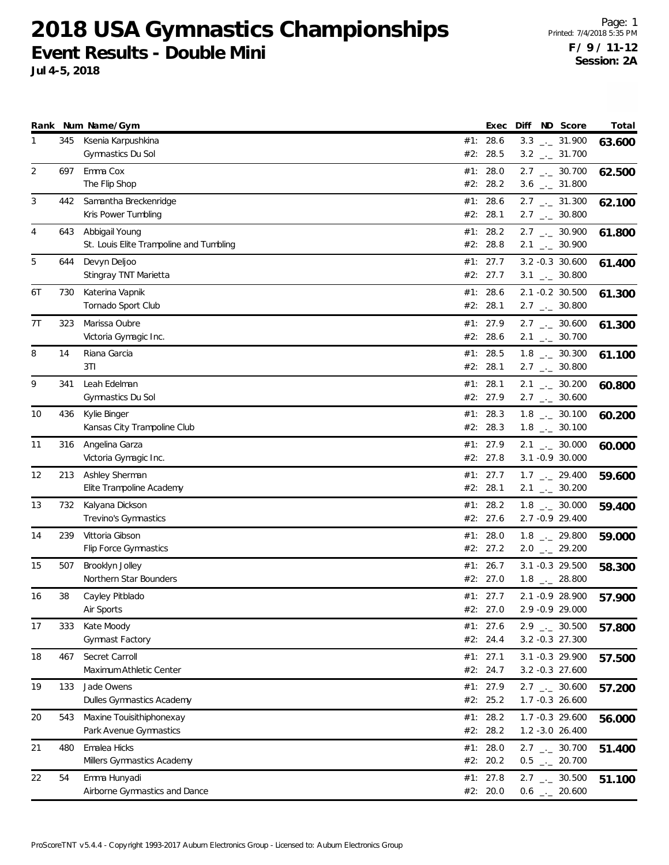**Jul 4-5, 2018**

|    |     | Rank Num Name/Gym                                         |     | Exec                   | Diff | ND Score                                                       | Total  |
|----|-----|-----------------------------------------------------------|-----|------------------------|------|----------------------------------------------------------------|--------|
| 1  | 345 | Ksenia Karpushkina<br>Gymnastics Du Sol                   | #2: | #1: 28.6<br>28.5       |      | $3.3$ $_{\leftarrow}$ 31.900<br>$3.2$ $_{\leftarrow}$ 31.700   | 63.600 |
| 2  | 697 | Emma Cox<br>The Flip Shop                                 | #1: | 28.0<br>#2: 28.2       |      | $2.7$ $_{\leftarrow}$ 30.700<br>$3.6$ $_{\leftarrow}$ 31.800   | 62.500 |
| 3  | 442 | Samantha Breckenridge<br>Kris Power Tumbling              |     | #1: 28.6<br>#2: 28.1   |      | $2.7$ $_{\leftarrow}$ 31.300<br>$2.7$ $_{\leftarrow}$ 30.800   | 62.100 |
| 4  | 643 | Abbigail Young<br>St. Louis Elite Trampoline and Tumbling |     | #1: 28.2<br>#2: 28.8   |      | $2.7$ $_{\leftarrow}$ 30.900<br>$2.1$ $_{\leftarrow}$ 30.900   | 61.800 |
| 5  | 644 | Devyn Deljoo<br>Stingray TNT Marietta                     |     | #1: 27.7<br>#2: 27.7   |      | 3.2 -0.3 30.600<br>$3.1$ $_{-}$ 30.800                         | 61.400 |
| 6T | 730 | Katerina Vapnik<br>Tornado Sport Club                     |     | #1: 28.6<br>#2: 28.1   |      | 2.1 -0.2 30.500<br>$2.7$ $_{\leftarrow}$ 30.800                | 61.300 |
| 7T | 323 | Marissa Oubre<br>Victoria Gymagic Inc.                    |     | #1: 27.9<br>#2: 28.6   |      | $2.7$ $_{\leftarrow}$ 30.600<br>$2.1$ $_{\leftarrow}$ 30.700   | 61.300 |
| 8  | 14  | Riana Garcia<br>3TI                                       |     | #1: 28.5<br>#2: 28.1   |      | $1.8$ $_{\leftarrow}$ 30.300<br>$2.7$ $_{\leftarrow}$ 30.800   | 61.100 |
| 9  | 341 | Leah Edelman<br>Gymnastics Du Sol                         |     | #1: 28.1<br>#2: 27.9   |      | $2.1$ $_{-}$ 30.200<br>$2.7$ $_{\leftarrow}$ 30.600            | 60.800 |
| 10 | 436 | Kylie Binger<br>Kansas City Trampoline Club               |     | #1: 28.3<br>#2: 28.3   |      | $1.8$ $_{\leftarrow}$ 30.100<br>$1.8$ $_{\leftarrow}$ 30.100   | 60.200 |
| 11 | 316 | Angelina Garza<br>Victoria Gymagic Inc.                   |     | #1: 27.9<br>#2: 27.8   |      | $2.1$ $_{\leftarrow}$ 30.000<br>3.1 -0.9 30.000                | 60.000 |
| 12 | 213 | Ashley Sherman<br>Elite Trampoline Academy                | #1: | 27.7<br>#2: 28.1       |      | $1.7$ $_{\leftarrow}$ 29.400<br>$2.1$ $_{-}$ 30.200            | 59.600 |
| 13 | 732 | Kalyana Dickson<br>Trevino's Gymnastics                   |     | #1: 28.2<br>#2: 27.6   |      | $1.8$ $_{\leftarrow}$ 30.000<br>2.7 -0.9 29.400                | 59.400 |
| 14 | 239 | Vittoria Gibson<br>Flip Force Gymnastics                  |     | #1: 28.0<br>#2: 27.2   |      | $1.8$ $_{\leftarrow}$ 29.800<br>$2.0$ $_{\leftarrow}$ 29.200   | 59.000 |
| 15 | 507 | Brooklyn Jolley<br>Northern Star Bounders                 | #1: | 26.7<br>#2: 27.0       |      | 3.1 -0.3 29.500<br>$1.8$ $_{-}$ 28.800                         | 58.300 |
| 16 | 38  | Cayley Pitblado<br>Air Sports                             |     | #1: 27.7<br>#2: 27.0   |      | 2.1 -0.9 28.900<br>2.9 -0.9 29.000                             | 57.900 |
| 17 | 333 | Kate Moody<br>Gymnast Factory                             |     | #1: 27.6<br>#2: 24.4   |      | $2.9$ $_{\leftarrow}$ 30.500<br>3.2 -0.3 27.300                | 57.800 |
| 18 | 467 | Secret Carroll<br>Maximum Athletic Center                 |     | #1: 27.1<br>#2: 24.7   |      | 3.1 -0.3 29.900<br>$3.2 - 0.3$ 27.600                          | 57.500 |
| 19 | 133 | Jade Owens<br>Dulles Gymnastics Academy                   |     | #1: 27.9<br>#2: 25.2   |      | $2.7$ $_{\leftarrow}$ 30.600<br>1.7 -0.3 26.600                | 57.200 |
| 20 | 543 | Maxine Touisithiphonexay<br>Park Avenue Gymnastics        |     | #1: 28.2<br>#2: 28.2   |      | 1.7 -0.3 29.600<br>1.2 -3.0 26.400                             | 56.000 |
| 21 | 480 | Emalea Hicks<br>Millers Gymnastics Academy                |     | #1: 28.0<br>#2: 20.2   |      | $2.7$ $_{\leftarrow}$ 30.700<br>$0.5$ $_{-}$ 20.700            | 51.400 |
| 22 | 54  | Emma Hunyadi<br>Airborne Gymnastics and Dance             |     | #1: $27.8$<br>#2: 20.0 |      | $2.7$ $_{\leftarrow}$ 30.500<br>$0.6$ $_{\leftarrow -}$ 20.600 | 51.100 |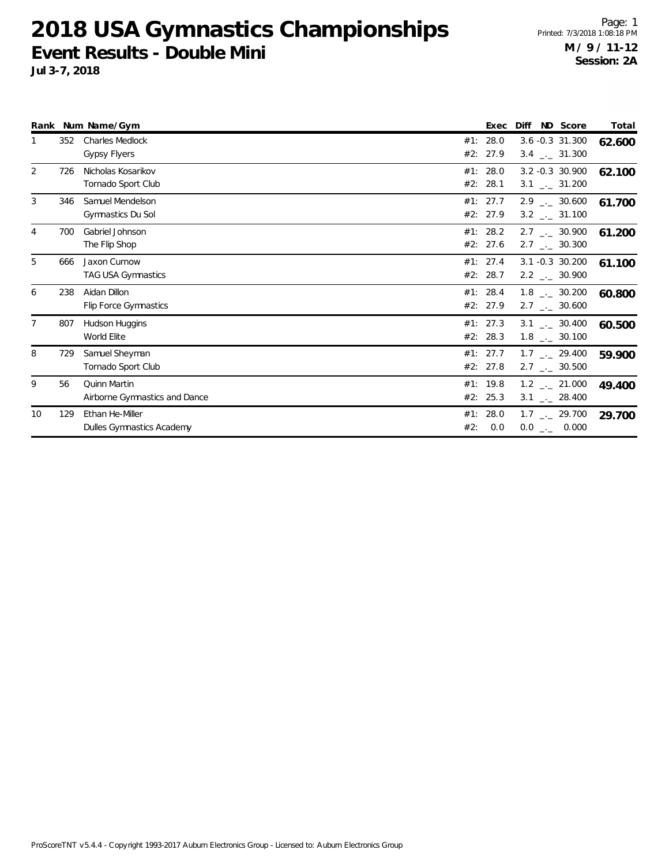|    |     | Rank Num Name/Gym                                    |            | Exec                 | ND Score<br>Diff                                             | Total  |
|----|-----|------------------------------------------------------|------------|----------------------|--------------------------------------------------------------|--------|
|    | 352 | <b>Charles Medlock</b><br><b>Gypsy Flyers</b>        | #1:        | 28.0<br>#2: 27.9     | $3.6 - 0.3$ 31.300<br>$3.4$ $_{\leftarrow}$ 31.300           | 62.600 |
| 2  | 726 | Nicholas Kosarikov<br>Tornado Sport Club             | #2:        | #1: 28.0<br>28.1     | 3.2 -0.3 30.900<br>$3.1$ $_{-}$ 31.200                       | 62.100 |
| 3  | 346 | Samuel Mendelson<br>Gymnastics Du Sol                |            | #1: 27.7<br>#2: 27.9 | $2.9$ $_{\leftarrow}$ 30.600<br>$3.2$ $_{\leftarrow}$ 31.100 | 61.700 |
| 4  | 700 | Gabriel Johnson<br>The Flip Shop                     |            | #1: 28.2<br>#2: 27.6 | $2.7$ $_{\sim}$ 30.900<br>$2.7$ $_{\leftarrow}$ 30.300       | 61.200 |
| 5  | 666 | Jaxon Curnow<br>TAG USA Gymnastics                   |            | #1: 27.4<br>#2: 28.7 | 3.1 -0.3 30.200<br>$2.2$ $_{\leftarrow}$ 30.900              | 61.100 |
| 6  | 238 | Aidan Dillon<br>Flip Force Gymnastics                | #2:        | #1: 28.4<br>27.9     | $1.8$ _._ 30.200<br>$2.7$ $_{\leftarrow}$ 30.600             | 60.800 |
| 7  | 807 | Hudson Huggins<br>World Elite                        |            | #1: 27.3<br>#2: 28.3 | 3.1 . 30.400<br>$1.8$ $_{\leftarrow}$ 30.100                 | 60.500 |
| 8  | 729 | Samuel Sheyman<br>Tornado Sport Club                 |            | #1: 27.7<br>#2: 27.8 | $1.7$ $_{\sim}$ 29.400<br>$2.7$ $_{\leftarrow}$ 30.500       | 59.900 |
| 9  | 56  | <b>Quinn Martin</b><br>Airborne Gymnastics and Dance |            | #1: 19.8<br>#2: 25.3 | $1.2$ $_{\leftarrow}$ 21.000<br>$3.1$ $_{\leftarrow}$ 28.400 | 49.400 |
| 10 | 129 | Ethan He-Miller<br>Dulles Gymnastics Academy         | #1:<br>#2: | 28.0<br>0.0          | $1.7$ $_{\leftarrow}$ 29.700<br>$0.0$ _ 0.000                | 29.700 |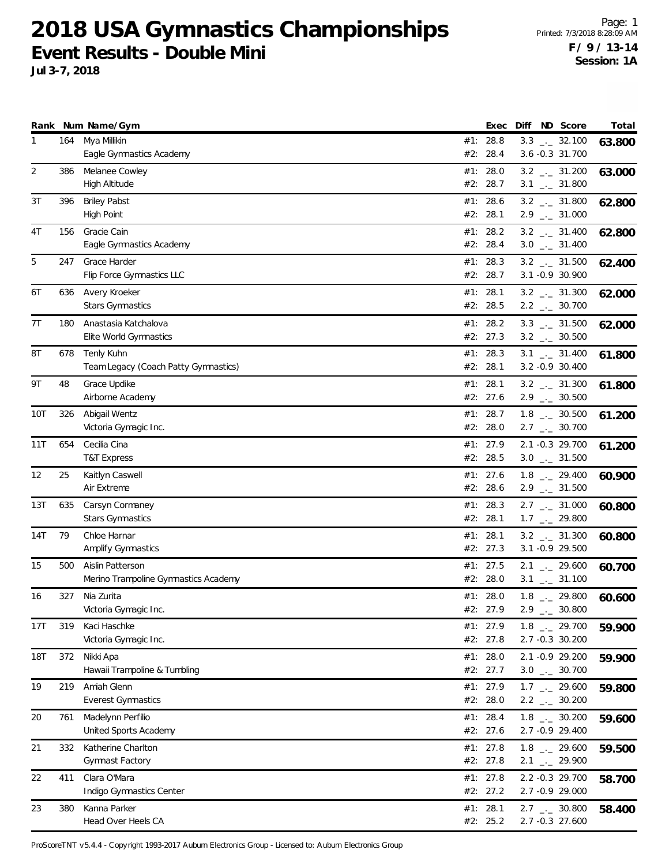**Jul 3-7, 2018**

|                  |            | Rank Num Name/Gym                                        |     | Exec                             | Diff | ND Score                                                                            | Total  |
|------------------|------------|----------------------------------------------------------|-----|----------------------------------|------|-------------------------------------------------------------------------------------|--------|
| 1                | 164        | Mya Millikin<br>Eagle Gymnastics Academy                 | #2: | #1: 28.8<br>28.4                 |      | $3.3$ $_{\leftarrow}$ 32.100<br>$3.6 - 0.3$ 31.700                                  | 63.800 |
| 2                | 386        | Melanee Cowley<br><b>High Altitude</b>                   |     | #1: 28.0<br>#2: 28.7             |      | $3.2$ $_{\leftarrow}$ 31.200<br>$3.1$ $_{-1}$ 31.800                                | 63.000 |
| 3T               | 396        | <b>Briley Pabst</b><br><b>High Point</b>                 |     | #1: 28.6<br>#2: 28.1             |      | $3.2$ $_{\leftarrow}$ 31.800<br>$2.9$ $_{\leftarrow}$ 31.000                        | 62.800 |
| 4T               | 156        | Gracie Cain<br>Eagle Gymnastics Academy                  |     | #1: 28.2<br>#2: 28.4             |      | $3.2$ $_{-}$ 31.400<br>$3.0$ $_{\leftarrow}$ 31.400                                 | 62.800 |
| 5                | 247        | Grace Harder<br>Flip Force Gymnastics LLC                |     | #1: 28.3<br>#2: 28.7             |      | $3.2$ _ $-31.500$<br>3.1 -0.9 30.900                                                | 62.400 |
| 6T               | 636        | Avery Kroeker<br><b>Stars Gymnastics</b>                 |     | #1: 28.1<br>#2: 28.5             |      | $3.2$ $_{\leftarrow}$ 31.300<br>$2.2$ $_{\leftarrow}$ 30.700                        | 62.000 |
| 7T               | 180        | Anastasia Katchalova<br>Elite World Gymnastics           |     | #1: 28.2<br>#2: 27.3             |      | $3.3$ $_{\leftarrow}$ 31.500<br>$3.2$ $_{\leftarrow}$ 30.500                        | 62.000 |
| 8Τ               | 678        | Tenly Kuhn<br>Team Legacy (Coach Patty Gymnastics)       |     | #1: 28.3<br>#2: 28.1             |      | $3.1$ $_{\leftarrow}$ 31.400<br>3.2 -0.9 30.400                                     | 61.800 |
| 9Τ               | 48         | Grace Updike<br>Airborne Academy                         |     | #1: 28.1<br>#2: 27.6             |      | $3.2$ $_{-1}$ 31.300<br>$2.9$ $-2.30.500$                                           | 61.800 |
| 10T              | 326        | Abigail Wentz<br>Victoria Gymagic Inc.                   |     | #1: 28.7<br>#2: 28.0             |      | $1.8$ $_{\leftarrow}$ 30.500<br>$2.7$ $_{\leftarrow}$ 30.700                        | 61.200 |
| 11T              | 654        | Cecilia Cina<br><b>T&amp;T Express</b>                   |     | #1: 27.9<br>#2: 28.5             |      | 2.1 -0.3 29.700<br>$3.0$ $_{\leftarrow}$ 31.500                                     | 61.200 |
| 12               | 25         | Kaitlyn Caswell<br>Air Extreme                           |     | #1: 27.6<br>#2: 28.6             |      | $1.8$ $_{-2}$ 29.400<br>$2.9$ $_{\leftarrow}$ 31.500                                | 60.900 |
| 13T              | 635        | Carsyn Cormaney<br><b>Stars Gymnastics</b>               |     | #1: 28.3<br>#2: 28.1             |      | $2.7$ $_{\leftarrow}$ 31.000<br>$1.7$ $_{\leftarrow}$ 29.800                        | 60.800 |
| 14T              | 79         | Chloe Harnar<br>Amplify Gymnastics                       |     | #1: 28.1<br>#2: 27.3             |      | $3.2$ $_{\leftarrow}$ 31.300<br>3.1 -0.9 29.500                                     | 60.800 |
| 15               | 500        | Aislin Patterson<br>Merino Trampoline Gymnastics Academy |     | #1: 27.5<br>#2: 28.0             |      | $2.1$ $_{\leftarrow}$ 29.600<br>$3.1$ $_{\leftarrow}$ 31.100                        | 60.700 |
| 16               | 327        | Nia Zurita<br>Victoria Gymagic Inc.                      |     | #1: 28.0<br>#2: 27.9             |      | $1.8$ $_{-}$ 29.800<br>$2.9$ $-1$<br>30.800                                         | 60.600 |
| 17T              | 319        | Kaci Haschke<br>Victoria Gymagic Inc.<br>Nikki Apa       |     | #1: 27.9<br>#2: 27.8             |      | $1.8$ $_{-2}$ 29.700<br>2.7 -0.3 30.200                                             | 59.900 |
| <b>18T</b><br>19 | 372<br>219 | Hawaii Trampoline & Tumbling<br>Amiah Glenn              |     | #1: 28.0<br>#2: 27.7<br>#1: 27.9 |      | 2.1 -0.9 29.200<br>$3.0$ $_{\leftarrow}$ 30.700                                     | 59.900 |
| 20               | 761        | <b>Everest Gymnastics</b><br>Madelynn Perfilio           |     | #2: 28.0<br>#1: 28.4             |      | $1.7$ $_{\leftarrow}$ 29.600<br>$2.2$ $_{\leftarrow}$ 30.200<br>$1.8$ $_{-}$ 30.200 | 59.800 |
| 21               | 332        | United Sports Academy<br>Katherine Charlton              |     | #2: 27.6<br>#1: 27.8             |      | 2.7 -0.9 29.400<br>$1.8$ $_{\leftarrow}$ 29.600                                     | 59.600 |
| 22               | 411        | Gymnast Factory<br>Clara O'Mara                          |     | #2: 27.8<br>#1: $27.8$           |      | $2.1$ $_{\leftarrow}$ 29.900<br>2.2 -0.3 29.700                                     | 59.500 |
|                  | 380        | Indigo Gymnastics Center<br>Kanna Parker                 |     | #2: 27.2<br>#1: 28.1             |      | 2.7 -0.9 29.000                                                                     | 58.700 |
| 23               |            | Head Over Heels CA                                       |     | #2: 25.2                         |      | $2.7$ $_{\leftarrow}$ 30.800<br>2.7 -0.3 27.600                                     | 58.400 |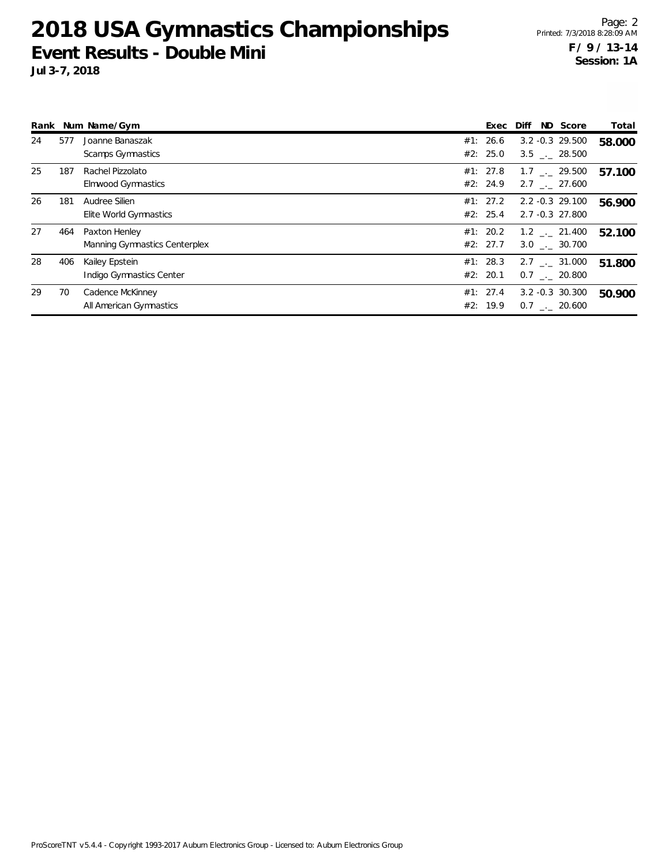| Rank |     | Num Name/Gym                                   | Exec                 | ND Score<br>Diff                                 | Total  |
|------|-----|------------------------------------------------|----------------------|--------------------------------------------------|--------|
| 24   | 577 | Joanne Banaszak<br>Scamps Gymnastics           | #1: 26.6<br>#2: 25.0 | $3.2 - 0.3$ 29.500<br>$3.5 \quad . \quad 28.500$ | 58.000 |
| 25   | 187 | Rachel Pizzolato<br>Elmwood Gymnastics         | #1: 27.8<br>#2: 24.9 | $1.7$ $_{\sim}$ 29.500<br>$2.7$ $_{--}$ 27.600   | 57.100 |
| 26   | 181 | Audree Silien<br>Elite World Gymnastics        | #1: 27.2<br>#2: 25.4 | 2.2 -0.3 29.100<br>2.7 -0.3 27.800               | 56.900 |
| 27   | 464 | Paxton Henley<br>Manning Gymnastics Centerplex | #1: 20.2<br>#2: 27.7 | $1.2$ $_{--}$ 21.400<br>$3.0$ $-.$ 30.700        | 52.100 |
| 28   | 406 | Kailey Epstein<br>Indigo Gymnastics Center     | #1: 28.3<br>#2: 20.1 | $2.7$ $_{\sim}$ 31.000<br>$0.7$ $-.$ 20.800      | 51.800 |
| 29   | 70  | Cadence McKinney<br>All American Gymnastics    | #1: 27.4<br>#2: 19.9 | $3.2 - 0.3$ 30.300<br>$0.7$ $_{\sim}$ 20.600     | 50.900 |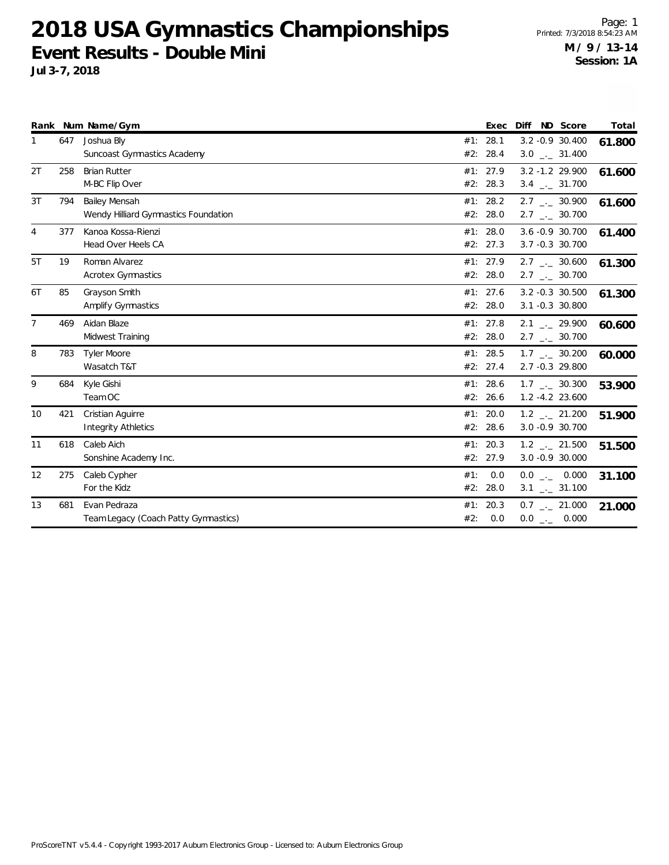|                |     | Rank Num Name/Gym                                     |            | Exec                 | Diff ND Score                                                | Total  |
|----------------|-----|-------------------------------------------------------|------------|----------------------|--------------------------------------------------------------|--------|
| 1              | 647 | Joshua Bly<br><b>Suncoast Gymnastics Academy</b>      |            | #1: 28.1<br>#2: 28.4 | 3.2 -0.9 30.400<br>$3.0$ _ $-31.400$                         | 61.800 |
| 2T             | 258 | <b>Brian Rutter</b><br>M-BC Flip Over                 |            | #1: 27.9<br>#2: 28.3 | $3.2 - 1.2$ 29.900<br>$3.4$ $_{\leftarrow}$ 31.700           | 61.600 |
| 3T             | 794 | Bailey Mensah<br>Wendy Hilliard Gymnastics Foundation |            | #1: 28.2<br>#2: 28.0 | $2.7$ $_{\leftarrow}$ 30.900<br>$2.7$ $_{\leftarrow}$ 30.700 | 61.600 |
| $\overline{4}$ | 377 | Kanoa Kossa-Rienzi<br>Head Over Heels CA              |            | #1: 28.0<br>#2: 27.3 | 3.6 -0.9 30.700<br>3.7 -0.3 30.700                           | 61.400 |
| 5T             | 19  | Roman Alvarez<br><b>Acrotex Gymnastics</b>            |            | #1: 27.9<br>#2: 28.0 | $2.7$ _. 30.600<br>$2.7$ _._ 30.700                          | 61.300 |
| 6T             | 85  | Grayson Smith<br><b>Amplify Gymnastics</b>            |            | #1: 27.6<br>#2: 28.0 | $3.2 - 0.3$ 30.500<br>3.1 -0.3 30.800                        | 61.300 |
| 7              | 469 | Aidan Blaze<br>Midwest Training                       |            | #1: 27.8<br>#2: 28.0 | $2.1$ $_{\leftarrow}$ 29.900<br>$2.7$ $_{\leftarrow}$ 30.700 | 60.600 |
| 8              | 783 | <b>Tyler Moore</b><br>Wasatch T&T                     |            | #1: 28.5<br>#2: 27.4 | $1.7$ _._ 30.200<br>2.7 -0.3 29.800                          | 60.000 |
| 9              | 684 | Kyle Gishi<br>Team OC                                 | #2:        | #1: 28.6<br>26.6     | $1.7$ $_{\leftarrow}$ 30.300<br>1.2 -4.2 23.600              | 53.900 |
| 10             | 421 | Cristian Aguirre<br><b>Integrity Athletics</b>        | #1:        | 20.0<br>#2: 28.6     | $1.2$ $_{\leftarrow}$ 21.200<br>3.0 -0.9 30.700              | 51.900 |
| 11             | 618 | Caleb Aich<br>Sonshine Academy Inc.                   | #2:        | #1: 20.3<br>27.9     | $1.2$ $_{\leftarrow}$ 21.500<br>3.0 -0.9 30.000              | 51.500 |
| 12             | 275 | Caleb Cypher<br>For the Kidz                          | #1:<br>#2: | 0.0<br>28.0          | $0.0$ _ 0.000<br>$3.1$ $_{-1}$ $31.100$                      | 31.100 |
| 13             | 681 | Evan Pedraza<br>Team Legacy (Coach Patty Gymnastics)  | #1:<br>#2: | 20.3<br>0.0          | $0.7$ $_{\leftarrow}$ 21.000<br>$0.0$ _._ 0.000              | 21.000 |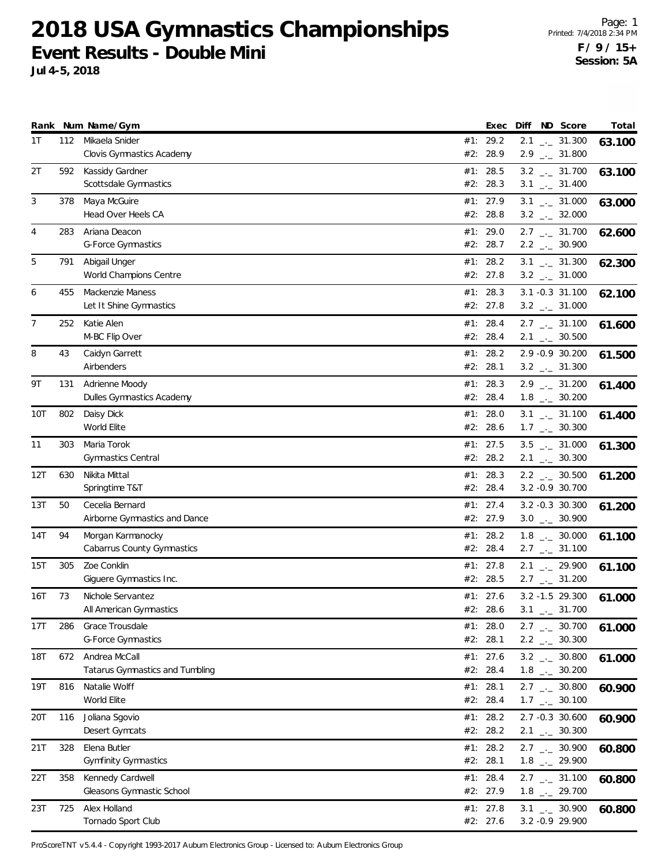**Jul 4-5, 2018**

|                |     | Rank Num Name/Gym                                | Exec                   |  | Diff ND Score                                                | Total  |
|----------------|-----|--------------------------------------------------|------------------------|--|--------------------------------------------------------------|--------|
| 1T             |     | 112 Mikaela Snider<br>Clovis Gymnastics Academy  | #1: 29.2<br>#2: 28.9   |  | $2.1$ $_{\leftarrow}$ 31.300<br>$2.9$ $_{\leftarrow}$ 31.800 | 63.100 |
| 2T             | 592 | Kassidy Gardner<br>Scottsdale Gymnastics         | #1: 28.5<br>#2: 28.3   |  | $3.2$ $_{-1}$ 31.700<br>$3.1$ $_{\leftarrow}$ 31.400         | 63.100 |
| 3              | 378 | Maya McGuire<br>Head Over Heels CA               | #1: 27.9<br>#2: 28.8   |  | $3.1$ $_{\leftarrow}$ 31.000<br>$3.2$ $_{\leftarrow}$ 32.000 | 63.000 |
| $\overline{4}$ | 283 | Ariana Deacon<br><b>G-Force Gymnastics</b>       | #1: 29.0<br>#2: 28.7   |  | $2.7$ $_{\leftarrow}$ 31.700<br>$2.2$ $_{\leftarrow}$ 30.900 | 62.600 |
| 5              | 791 | Abigail Unger<br>World Champions Centre          | #1: 28.2<br>#2: 27.8   |  | $3.1$ _ $-31.300$<br>$3.2$ $_{\leftarrow}$ 31.000            | 62.300 |
| 6              | 455 | Mackenzie Maness<br>Let It Shine Gymnastics      | #1: 28.3<br>#2: 27.8   |  | $3.1 - 0.3$ $31.100$<br>$3.2$ $_{\leftarrow}$ 31.000         | 62.100 |
| 7              | 252 | Katie Alen<br>M-BC Flip Over                     | #1: 28.4<br>#2: 28.4   |  | $2.7$ $_{\leftarrow}$ 31.100<br>$2.1$ $_{\leftarrow}$ 30.500 | 61.600 |
| 8              | 43  | Caidyn Garrett<br>Airbenders                     | #1: 28.2<br>#2: 28.1   |  | 2.9 -0.9 30.200<br>$3.2$ $_{\leftarrow}$ 31.300              | 61.500 |
| 9Τ             | 131 | Adrienne Moody<br>Dulles Gymnastics Academy      | #1: 28.3<br>#2: 28.4   |  | $2.9$ $_{--}$ 31.200<br>$1.8$ $_{\leftarrow}$ 30.200         | 61.400 |
| 10T            | 802 | Daisy Dick<br>World Elite                        | #1: 28.0<br>#2: 28.6   |  | $3.1$ $_{-}$ 31.100<br>$1.7$ $_{\leftarrow}$ 30.300          | 61.400 |
| 11             | 303 | Maria Torok<br>Gymnastics Central                | #1: 27.5<br>#2: 28.2   |  | $3.5$ $_{\leftarrow}$ 31.000<br>$2.1$ $_{\leftarrow}$ 30.300 | 61.300 |
| 12T            | 630 | Nikita Mittal<br>Springtime T&T                  | #1: 28.3<br>#2: 28.4   |  | $2.2$ $_{\leftarrow}$ 30.500<br>3.2 - 0.9 30.700             | 61.200 |
| 13T            | 50  | Cecelia Bernard<br>Airborne Gymnastics and Dance | #1: 27.4<br>#2: 27.9   |  | 3.2 -0.3 30.300<br>$3.0$ _ $-30.900$                         | 61.200 |
| 14T            | 94  | Morgan Karmanocky<br>Cabarrus County Gymnastics  | #1: 28.2<br>#2: 28.4   |  | $1.8$ $_{\leftarrow}$ 30.000<br>$2.7$ $_{\leftarrow}$ 31.100 | 61.100 |
| 15T            | 305 | Zoe Conklin<br>Giguere Gymnastics Inc.           | #1: 27.8<br>#2: 28.5   |  | $2.1$ $_{-}$ 29.900<br>$2.7$ $_{\leftarrow}$ 31.200          | 61.100 |
| 16T            | 73  | Nichole Servantez<br>All American Gymnastics     | #1: 27.6<br>#2: 28.6   |  | 3.2 -1.5 29.300<br>$3.1$ $_{\leftarrow}$ 31.700              | 61.000 |
| 17T            | 286 | Grace Trousdale<br>G-Force Gymnastics            | #1: $28.0$<br>#2: 28.1 |  | 2.7 $\qquad$ 30.700<br>$2.2$ $_{\leftarrow}$ 30.300          | 61.000 |
| 18T            | 672 | Andrea McCall<br>Tatarus Gymnastics and Tumbling | #1: 27.6<br>#2: 28.4   |  | $3.2$ _ 30.800<br>$1.8$ $_{\leftarrow}$ 30.200               | 61.000 |
| 19T            | 816 | Natalie Wolff<br>World Elite                     | #1: 28.1<br>#2: 28.4   |  | $2.7$ $_{\leftarrow}$ 30.800<br>$1.7$ $_{\leftarrow}$ 30.100 | 60.900 |
| 20T            | 116 | Joliana Sgovio<br>Desert Gymcats                 | #1: 28.2<br>#2: 28.2   |  | 2.7 -0.3 30.600<br>$2.1$ $_{-1}$ 30.300                      | 60.900 |
| 21T            | 328 | Elena Butler<br><b>Gymfinity Gymnastics</b>      | #1: 28.2<br>#2: 28.1   |  | $2.7$ $_{\leftarrow}$ 30.900<br>$1.8$ $_{--}$ 29.900         | 60.800 |
| 22T            | 358 | Kennedy Cardwell<br>Gleasons Gymnastic School    | #1: 28.4<br>#2: 27.9   |  | $2.7$ $_{\leftarrow}$ 31.100<br>$1.8$ $_{-}$ 29.700          | 60.800 |
| 23T            | 725 | Alex Holland<br>Tornado Sport Club               | #1: 27.8<br>#2: 27.6   |  | $3.1$ $-2$ 30.900<br>3.2 - 0.9 29.900                        | 60.800 |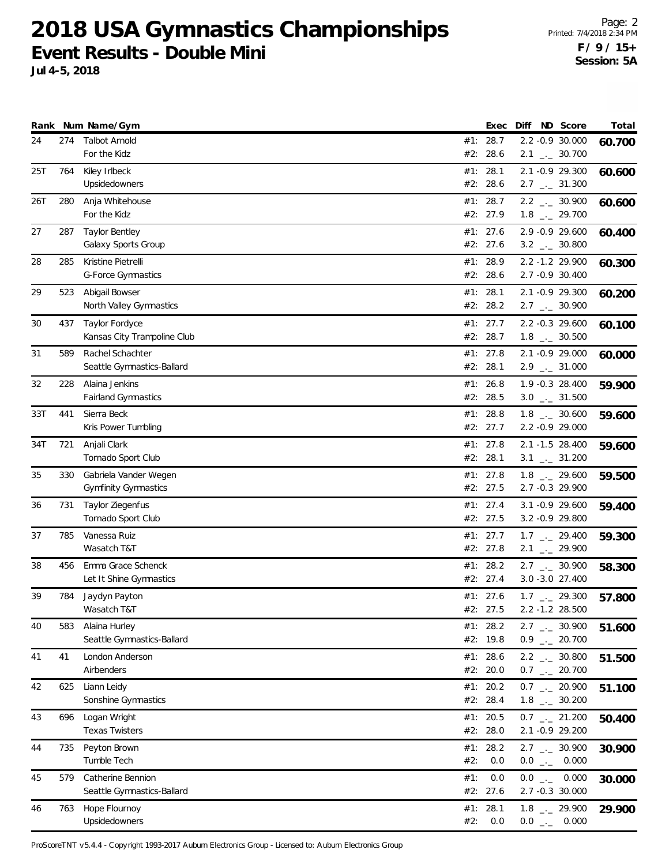**Jul 4-5, 2018**

|     |     | Rank Num Name/Gym                                    |            | Exec                   | Diff | ND Score                                             | Total  |
|-----|-----|------------------------------------------------------|------------|------------------------|------|------------------------------------------------------|--------|
| 24  | 274 | <b>Talbot Arnold</b><br>For the Kidz                 |            | #1: 28.7<br>#2: 28.6   |      | 2.2 -0.9 30.000<br>$2.1$ $_{\leftarrow}$ 30.700      | 60.700 |
| 25T | 764 | Kiley Irlbeck<br><b>Upsidedowners</b>                |            | #1: 28.1<br>#2: 28.6   |      | 2.1 -0.9 29.300<br>$2.7$ $_{\leftarrow}$ 31.300      | 60.600 |
| 26T | 280 | Anja Whitehouse<br>For the Kidz                      |            | #1: 28.7<br>#2: 27.9   |      | $2.2$ $_{-}$ 30.900<br>$1.8$ $_{-}$ 29.700           | 60.600 |
| 27  | 287 | <b>Taylor Bentley</b><br>Galaxy Sports Group         |            | #1: $27.6$<br>#2: 27.6 |      | 2.9 -0.9 29.600<br>$3.2$ $_{\leftarrow}$ 30.800      | 60.400 |
| 28  | 285 | Kristine Pietrelli<br><b>G-Force Gymnastics</b>      |            | #1: 28.9<br>#2: 28.6   |      | 2.2 -1.2 29.900<br>2.7 -0.9 30.400                   | 60.300 |
| 29  | 523 | Abigail Bowser<br>North Valley Gymnastics            |            | #1: 28.1<br>#2: 28.2   |      | 2.1 -0.9 29.300<br>$2.7$ $_{\leftarrow}$ 30.900      | 60.200 |
| 30  | 437 | Taylor Fordyce<br>Kansas City Trampoline Club        |            | #1: $27.7$<br>#2: 28.7 |      | 2.2 -0.3 29.600<br>$1.8$ $_{\leftarrow}$ 30.500      | 60.100 |
| 31  | 589 | Rachel Schachter<br>Seattle Gymnastics-Ballard       |            | #1: $27.8$<br>#2: 28.1 |      | 2.1 -0.9 29.000<br>$2.9$ $_{\leftarrow}$ 31.000      | 60.000 |
| 32  | 228 | Alaina Jenkins<br><b>Fairland Gymnastics</b>         |            | #1: 26.8<br>#2: 28.5   |      | 1.9 -0.3 28.400<br>$3.0$ _ $-31.500$                 | 59.900 |
| 33T | 441 | Sierra Beck<br>Kris Power Tumbling                   |            | #1: 28.8<br>#2: 27.7   |      | $1.8$ _ $-30.600$<br>2.2 -0.9 29.000                 | 59.600 |
| 34T | 721 | Anjali Clark<br>Tornado Sport Club                   |            | #1: $27.8$<br>#2: 28.1 |      | 2.1 -1.5 28.400<br>$3.1$ $_{-1}$ $31.200$            | 59.600 |
| 35  | 330 | Gabriela Vander Wegen<br><b>Gymfinity Gymnastics</b> |            | #1: $27.8$<br>#2: 27.5 |      | $1.8$ $_{\leftarrow}$ 29.600<br>2.7 -0.3 29.900      | 59.500 |
| 36  | 731 | Taylor Ziegenfus<br>Tornado Sport Club               |            | #1: $27.4$<br>#2: 27.5 |      | $3.1 - 0.9$ 29.600<br>$3.2 -0.9$ 29.800              | 59.400 |
| 37  | 785 | Vanessa Ruiz<br>Wasatch T&T                          |            | #1: 27.7<br>#2: 27.8   |      | $1.7$ $_{\leftarrow}$ 29.400<br>$2.1$ $_{-}$ 29.900  | 59.300 |
| 38  | 456 | Emma Grace Schenck<br>Let It Shine Gymnastics        | #1:        | 28.2<br>#2: 27.4       |      | $2.7$ $_{-1}$ 30.900<br>3.0 - 3.0 27.400             | 58.300 |
| 39  | 784 | Jaydyn Payton<br>Wasatch T&T                         |            | #1: 27.6<br>#2: 27.5   |      | $1.7$ $_{\leftarrow}$ 29.300<br>$2.2 - 1.2$ 28.500   | 57.800 |
| 40  | 583 | Alaina Hurley<br>Seattle Gymnastics-Ballard          |            | #1: 28.2<br>#2: 19.8   |      | $2.7$ $_{\leftarrow}$ 30.900<br>$0.9$ $_{--}$ 20.700 | 51.600 |
| 41  | 41  | London Anderson<br>Airbenders                        |            | #1: 28.6<br>#2: 20.0   |      | $2.2$ $_{\leftarrow}$ 30.800<br>$0.7$ _ 20.700       | 51.500 |
| 42  | 625 | Liann Leidy<br>Sonshine Gymnastics                   |            | #1: $20.2$<br>#2: 28.4 |      | $0.7$ _ 20.900<br>$1.8$ $_{-}$ 30.200                | 51.100 |
| 43  | 696 | Logan Wright<br><b>Texas Twisters</b>                |            | #1: 20.5<br>#2: 28.0   |      | $0.7$ $_{-}$ 21.200<br>2.1 -0.9 29.200               | 50.400 |
| 44  | 735 | Peyton Brown<br>Tumble Tech                          | #2:        | #1: 28.2<br>0.0        |      | $2.7$ $_{\leftarrow}$ 30.900<br>$0.0$ _ 0.000        | 30.900 |
| 45  | 579 | Catherine Bennion<br>Seattle Gymnastics-Ballard      | #1:        | 0.0<br>#2: 27.6        |      | $0.0$ _ 0.000<br>2.7 -0.3 30.000                     | 30.000 |
| 46  | 763 | Hope Flournoy<br>Upsidedowners                       | #1:<br>#2: | 28.1<br>0.0            |      | $1.8$ $_{-}$ 29.900<br>$0.0$ _ 0.000                 | 29.900 |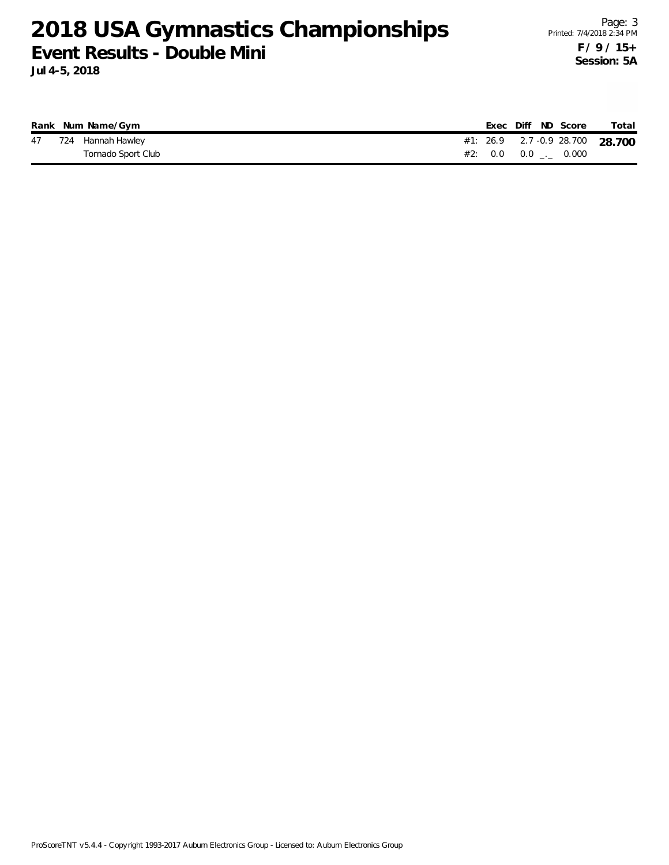**Jul 4-5, 2018**

|    | Rank Num Name/Gym  |  |  | Exec Diff ND Score            | Total                           |
|----|--------------------|--|--|-------------------------------|---------------------------------|
| 47 | 724 Hannah Hawley  |  |  |                               | #1: 26.9 2.7 -0.9 28.700 28.700 |
|    | Tornado Sport Club |  |  | #2: $0.0$ $0.0$ $1.0$ $0.000$ |                                 |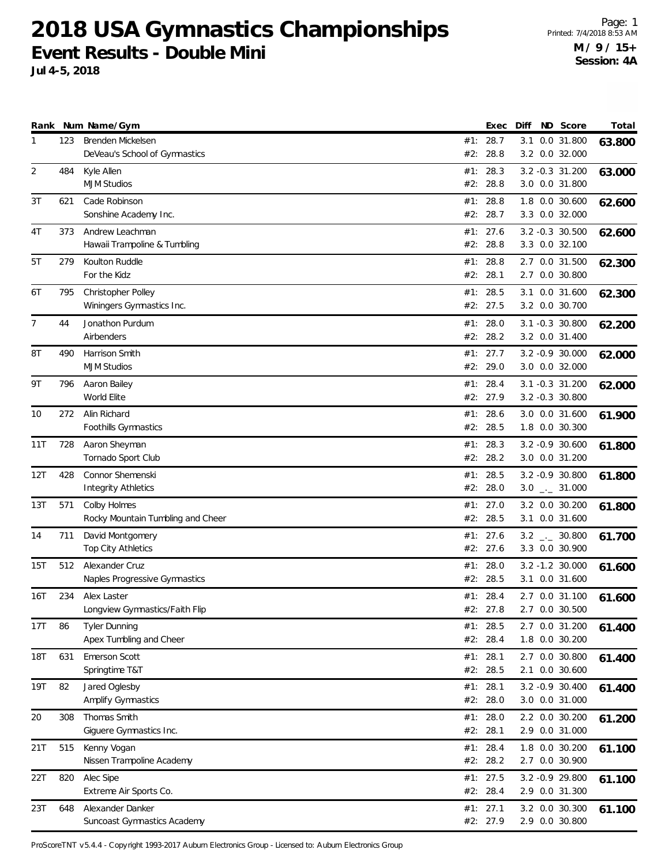**Jul 4-5, 2018**

|            |            | Rank Num Name/Gym                                       |            | Exec                               | Diff | ND Score                                            | Total  |
|------------|------------|---------------------------------------------------------|------------|------------------------------------|------|-----------------------------------------------------|--------|
| 1          | 123        | Brenden Mickelsen<br>DeVeau's School of Gymnastics      |            | #1: 28.7<br>#2: 28.8               |      | 3.1 0.0 31.800<br>3.2 0.0 32.000                    | 63.800 |
| 2          | 484        | Kyle Allen<br><b>MJM Studios</b>                        | #1:<br>#2: | 28.3<br>28.8                       |      | 3.2 -0.3 31.200<br>3.0 0.0 31.800                   | 63.000 |
| 3T         | 621        | Cade Robinson<br>Sonshine Academy Inc.                  |            | #1: 28.8<br>#2: 28.7               |      | 1.8 0.0 30.600<br>3.3 0.0 32.000                    | 62.600 |
| 4T         | 373        | Andrew Leachman<br>Hawaii Trampoline & Tumbling         | #2:        | #1: 27.6<br>28.8                   |      | $3.2 -0.3$ 30.500<br>3.3 0.0 32.100                 | 62.600 |
| 5T         | 279        | Koulton Ruddle<br>For the Kidz                          | #1:<br>#2: | 28.8<br>28.1                       |      | 2.7 0.0 31.500<br>2.7 0.0 30.800                    | 62.300 |
| 6T         | 795        | Christopher Polley<br>Winingers Gymnastics Inc.         |            | #1: 28.5<br>#2: 27.5               |      | 3.1 0.0 31.600<br>3.2 0.0 30.700                    | 62.300 |
| 7          | 44         | Jonathon Purdum<br>Airbenders                           | #1:<br>#2: | 28.0<br>28.2                       |      | $3.1 - 0.3$ 30.800<br>3.2 0.0 31.400                | 62.200 |
| 8T         | 490        | Harrison Smith<br><b>MJM Studios</b>                    | #2:        | #1: 27.7<br>29.0                   |      | 3.2 -0.9 30.000<br>3.0 0.0 32.000                   | 62.000 |
| 9Τ         | 796        | Aaron Bailey<br>World Elite                             | #1:        | 28.4<br>#2: 27.9                   |      | 3.1 -0.3 31.200<br>3.2 -0.3 30.800                  | 62.000 |
| 10         | 272        | Alin Richard<br>Foothills Gymnastics                    | #1:<br>#2: | 28.6<br>28.5                       |      | 3.0 0.0 31.600<br>1.8 0.0 30.300                    | 61.900 |
| 11T        | 728        | Aaron Sheyman<br>Tornado Sport Club                     | #1:<br>#2: | 28.3<br>28.2                       |      | 3.2 -0.9 30.600<br>3.0 0.0 31.200                   | 61.800 |
| 12T        | 428        | Connor Shemenski<br><b>Integrity Athletics</b>          |            | #1: 28.5<br>#2: 28.0               |      | 3.2 -0.9 30.800<br>$3.0$ _ $-31.000$                | 61.800 |
| 13T        | 571        | Colby Holmes<br>Rocky Mountain Tumbling and Cheer       | #1:<br>#2: | 27.0<br>28.5                       |      | 3.2 0.0 30.200<br>3.1 0.0 31.600                    | 61.800 |
| 14         | 711        | David Montgomery<br>Top City Athletics                  |            | #1: 27.6<br>#2: 27.6               |      | $3.2$ __ 30.800<br>3.3 0.0 30.900                   | 61.700 |
| 15T        | 512        | Alexander Cruz<br>Naples Progressive Gymnastics         | #1:        | 28.0<br>#2: 28.5                   |      | 3.2 -1.2 30.000<br>3.1 0.0 31.600                   | 61.600 |
| 16T        | 234        | Alex Laster<br>Longview Gymnastics/Faith Flip           |            | #1: 28.4<br>#2: 27.8               |      | 2.7 0.0 31.100<br>2.7 0.0 30.500                    | 61.600 |
| 17T        | 86         | <b>Tyler Dunning</b><br>Apex Tumbling and Cheer         |            | #1: 28.5<br>#2: 28.4               |      | 2.7 0.0 31.200<br>1.8 0.0 30.200                    | 61.400 |
| <b>18T</b> | 631        | Emerson Scott<br>Springtime T&T                         |            | #1: 28.1<br>#2: 28.5               |      | 2.7 0.0 30.800<br>2.1 0.0 30.600                    | 61.400 |
| 19T        | 82         | Jared Oglesby<br>Amplify Gymnastics                     |            | #1: 28.1<br>#2: 28.0               |      | 3.2 -0.9 30.400<br>3.0 0.0 31.000<br>2.2 0.0 30.200 | 61.400 |
| 20         | 308<br>515 | Thomas Smith<br>Giguere Gymnastics Inc.<br>Kenny Vogan  |            | #1: $28.0$<br>#2: 28.1<br>#1: 28.4 |      | 2.9 0.0 31.000<br>1.8 0.0 30.200                    | 61.200 |
| 21T        | 820        | Nissen Trampoline Academy                               |            | #2: 28.2<br>#1: 27.5               |      | 2.7 0.0 30.900                                      | 61.100 |
| 22T        |            | Alec Sipe<br>Extreme Air Sports Co.<br>Alexander Danker |            | #2: 28.4<br>#1: 27.1               |      | 3.2 -0.9 29.800<br>2.9 0.0 31.300<br>3.2 0.0 30.300 | 61.100 |
| 23T        | 648        | Suncoast Gymnastics Academy                             |            | #2: 27.9                           |      | 2.9 0.0 30.800                                      | 61.100 |